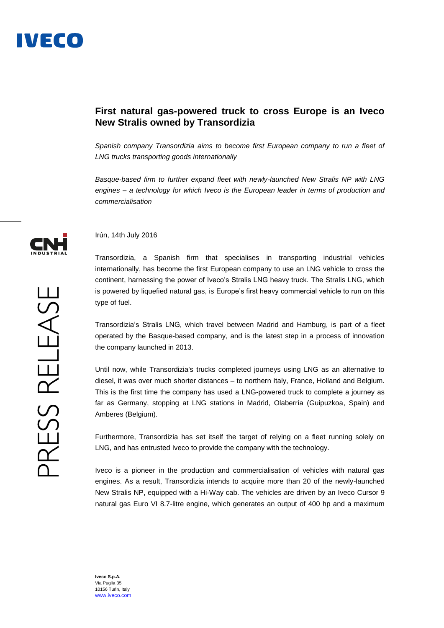## **First natural gas-powered truck to cross Europe is an Iveco New Stralis owned by Transordizia**

*Spanish company Transordizia aims to become first European company to run a fleet of LNG trucks transporting goods internationally*

*Basque-based firm to further expand fleet with newly-launched New Stralis NP with LNG engines – a technology for which Iveco is the European leader in terms of production and commercialisation*



Irún, 14th July 2016

Transordizia, a Spanish firm that specialises in transporting industrial vehicles internationally, has become the first European company to use an LNG vehicle to cross the continent, harnessing the power of Iveco's Stralis LNG heavy truck. The Stralis LNG, which is powered by liquefied natural gas, is Europe's first heavy commercial vehicle to run on this type of fuel.

Transordizia's Stralis LNG, which travel between Madrid and Hamburg, is part of a fleet operated by the Basque-based company, and is the latest step in a process of innovation the company launched in 2013.

Until now, while Transordizia's trucks completed journeys using LNG as an alternative to diesel, it was over much shorter distances – to northern Italy, France, Holland and Belgium. This is the first time the company has used a LNG-powered truck to complete a journey as far as Germany, stopping at LNG stations in Madrid, Olaberría (Guipuzkoa, Spain) and Amberes (Belgium).

Furthermore, Transordizia has set itself the target of relying on a fleet running solely on LNG, and has entrusted Iveco to provide the company with the technology.

Iveco is a pioneer in the production and commercialisation of vehicles with natural gas engines. As a result, Transordizia intends to acquire more than 20 of the newly-launched New Stralis NP, equipped with a Hi-Way cab. The vehicles are driven by an Iveco Cursor 9 natural gas Euro VI 8.7-litre engine, which generates an output of 400 hp and a maximum

**Iveco S.p.A.** Via Puglia 35 10156 Turin, Italy [www.iveco.com](http://www.iveco.com/)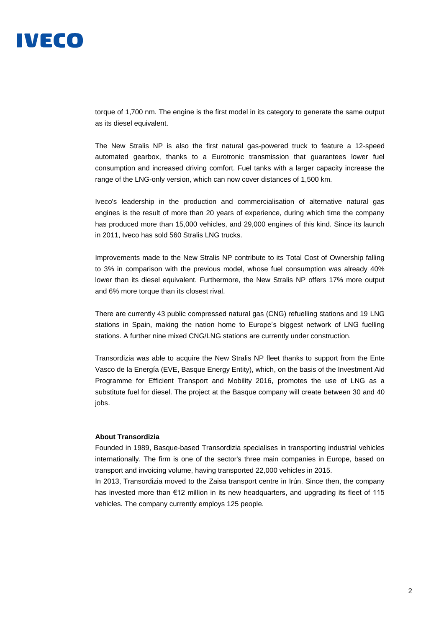# IVECO

torque of 1,700 nm. The engine is the first model in its category to generate the same output as its diesel equivalent.

The New Stralis NP is also the first natural gas-powered truck to feature a 12-speed automated gearbox, thanks to a Eurotronic transmission that guarantees lower fuel consumption and increased driving comfort. Fuel tanks with a larger capacity increase the range of the LNG-only version, which can now cover distances of 1,500 km.

Iveco's leadership in the production and commercialisation of alternative natural gas engines is the result of more than 20 years of experience, during which time the company has produced more than 15,000 vehicles, and 29,000 engines of this kind. Since its launch in 2011, Iveco has sold 560 Stralis LNG trucks.

Improvements made to the New Stralis NP contribute to its Total Cost of Ownership falling to 3% in comparison with the previous model, whose fuel consumption was already 40% lower than its diesel equivalent. Furthermore, the New Stralis NP offers 17% more output and 6% more torque than its closest rival.

There are currently 43 public compressed natural gas (CNG) refuelling stations and 19 LNG stations in Spain, making the nation home to Europe's biggest network of LNG fuelling stations. A further nine mixed CNG/LNG stations are currently under construction.

Transordizia was able to acquire the New Stralis NP fleet thanks to support from the Ente Vasco de la Energía (EVE, Basque Energy Entity), which, on the basis of the Investment Aid Programme for Efficient Transport and Mobility 2016, promotes the use of LNG as a substitute fuel for diesel. The project at the Basque company will create between 30 and 40 jobs.

### **About Transordizia**

Founded in 1989, Basque-based Transordizia specialises in transporting industrial vehicles internationally. The firm is one of the sector's three main companies in Europe, based on transport and invoicing volume, having transported 22,000 vehicles in 2015.

In 2013, Transordizia moved to the Zaisa transport centre in Irún. Since then, the company has invested more than €12 million in its new headquarters, and upgrading its fleet of 115 vehicles. The company currently employs 125 people.